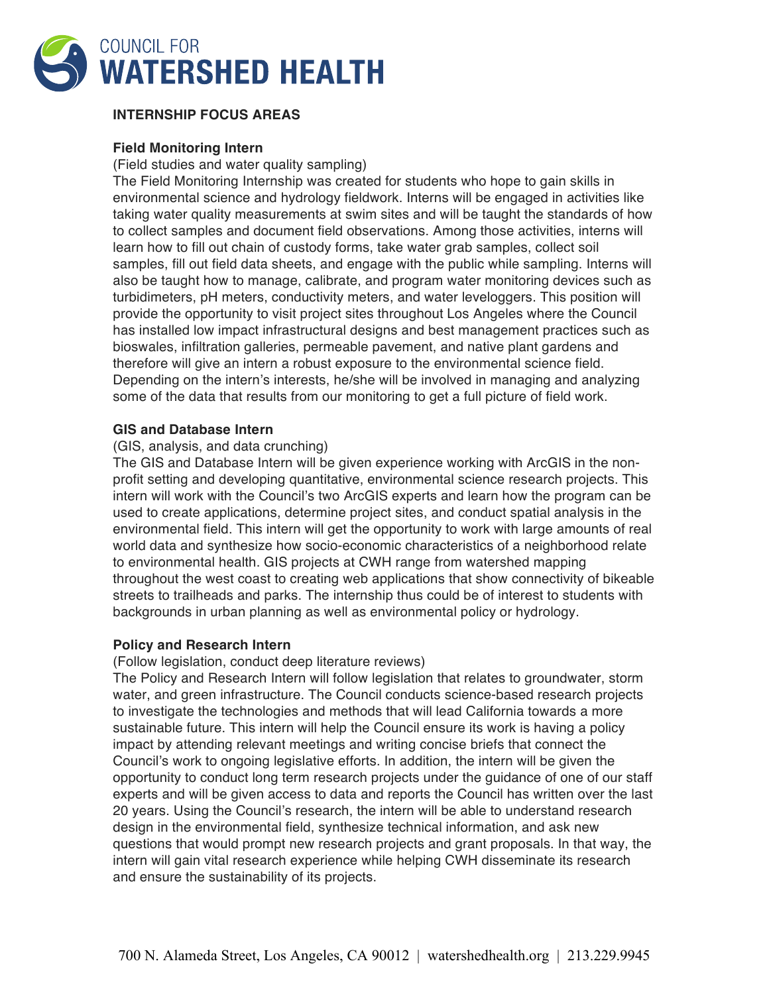

# **INTERNSHIP FOCUS AREAS**

### **Field Monitoring Intern**

(Field studies and water quality sampling)

The Field Monitoring Internship was created for students who hope to gain skills in environmental science and hydrology fieldwork. Interns will be engaged in activities like taking water quality measurements at swim sites and will be taught the standards of how to collect samples and document field observations. Among those activities, interns will learn how to fill out chain of custody forms, take water grab samples, collect soil samples, fill out field data sheets, and engage with the public while sampling. Interns will also be taught how to manage, calibrate, and program water monitoring devices such as turbidimeters, pH meters, conductivity meters, and water leveloggers. This position will provide the opportunity to visit project sites throughout Los Angeles where the Council has installed low impact infrastructural designs and best management practices such as bioswales, infiltration galleries, permeable pavement, and native plant gardens and therefore will give an intern a robust exposure to the environmental science field. Depending on the intern's interests, he/she will be involved in managing and analyzing some of the data that results from our monitoring to get a full picture of field work.

### **GIS and Database Intern**

### (GIS, analysis, and data crunching)

The GIS and Database Intern will be given experience working with ArcGIS in the nonprofit setting and developing quantitative, environmental science research projects. This intern will work with the Council's two ArcGIS experts and learn how the program can be used to create applications, determine project sites, and conduct spatial analysis in the environmental field. This intern will get the opportunity to work with large amounts of real world data and synthesize how socio-economic characteristics of a neighborhood relate to environmental health. GIS projects at CWH range from watershed mapping throughout the west coast to creating web applications that show connectivity of bikeable streets to trailheads and parks. The internship thus could be of interest to students with backgrounds in urban planning as well as environmental policy or hydrology.

#### **Policy and Research Intern**

(Follow legislation, conduct deep literature reviews)

The Policy and Research Intern will follow legislation that relates to groundwater, storm water, and green infrastructure. The Council conducts science-based research projects to investigate the technologies and methods that will lead California towards a more sustainable future. This intern will help the Council ensure its work is having a policy impact by attending relevant meetings and writing concise briefs that connect the Council's work to ongoing legislative efforts. In addition, the intern will be given the opportunity to conduct long term research projects under the guidance of one of our staff experts and will be given access to data and reports the Council has written over the last 20 years. Using the Council's research, the intern will be able to understand research design in the environmental field, synthesize technical information, and ask new questions that would prompt new research projects and grant proposals. In that way, the intern will gain vital research experience while helping CWH disseminate its research and ensure the sustainability of its projects.